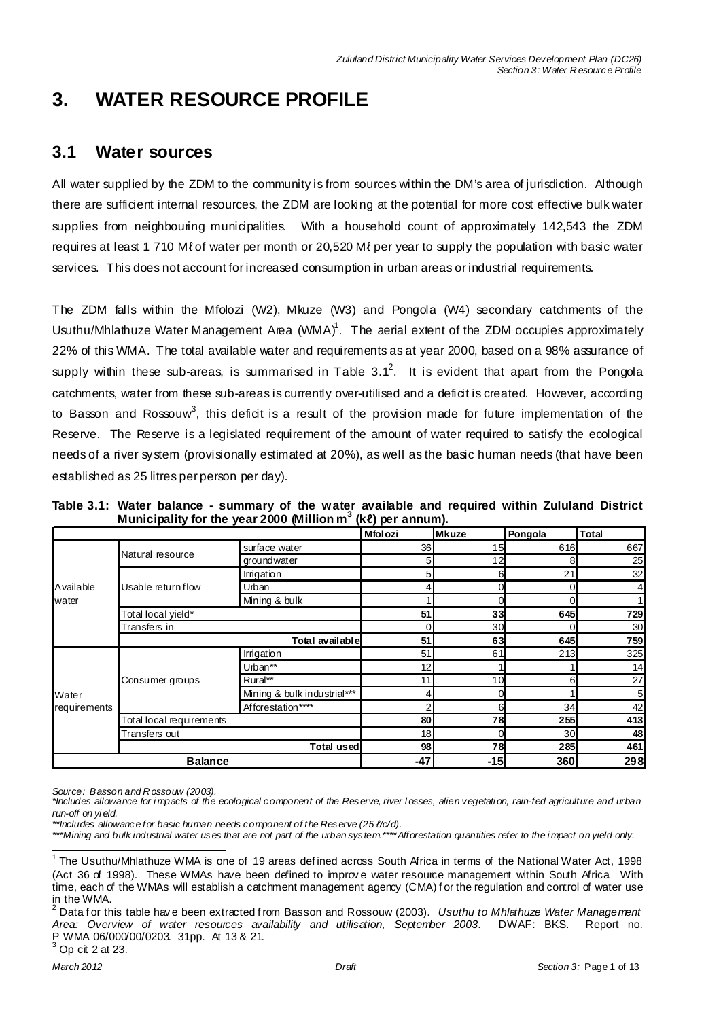# **3. WATER RESOURCE PROFILE**

## **3.1 Water sources**

All water supplied by the ZDM to the community is from sources within the DM's area of jurisdiction. Although there are sufficient internal resources, the ZDM are looking at the potential for more cost effective bulk water supplies from neighbouring municipalities. With a household count of approximately 142,543 the ZDM requires at least 1 710 ML of water per month or 20,520 ML per year to supply the population with basic water services. This does not account for increased consumption in urban areas or industrial requirements.

The ZDM falls within the Mfolozi (W2), Mkuze (W3) and Pongola (W4) secondary catchments of the Usuthu/Mhlathuze Water Management Area (WMA)<sup>1</sup>. The aerial extent of the ZDM occupies approximately 22% of this WMA. The total available water and requirements as at year 2000, based on a 98% assurance of supply within these sub-areas, is summarised in Table  $3.1^2$ . It is evident that apart from the Pongola catchments, water from these sub-areas is currently over-utilised and a deficit is created. However, according to Basson and Rossouw<sup>3</sup>, this deficit is a result of the provision made for future implementation of the Reserve. The Reserve is a legislated requirement of the amount of water required to satisfy the ecological needs of a river system (provisionally estimated at 20%), as well as the basic human needs (that have been established as 25 litres per person per day).

|  |  |  | Table 3.1: Water balance - summary of the water available and required within Zululand District |  |  |  |
|--|--|--|-------------------------------------------------------------------------------------------------|--|--|--|
|  |  |  | Municipality for the year 2000 (Million $m^3$ (ke) per annum).                                  |  |  |  |

|              |                          |                             | <b>Mfolozi</b>  | <b>Mkuze</b> | Pongola         | <b>Total</b>    |
|--------------|--------------------------|-----------------------------|-----------------|--------------|-----------------|-----------------|
|              |                          | surface water               | 36              | 15           | 616             | 667             |
|              | Natural resource         | groundwater                 | 5               | 12           | 8               | 25              |
|              |                          | Irrigation                  | 5               | 6            | 21              | 32              |
| Available    | Usable return flow       | Urban                       |                 | ሰ            |                 | $\overline{4}$  |
| water        |                          | Mining & bulk               |                 |              |                 |                 |
|              | Total local yield*       |                             | 51              | 33           | 645             | 729             |
|              | Transfers in             |                             |                 | 30           |                 | 30 <sub>l</sub> |
|              |                          | Total available             | 51              | 63           | 645             | 759             |
|              |                          | Irrigation                  | 51              | 61           | 213             | 325             |
|              |                          | Urban**                     | 12              |              |                 | 14              |
|              | Consumer groups          | Rural**                     | 11              | 10           | 6               | 27              |
| Water        |                          | Mining & bulk industrial*** |                 |              |                 | 5 <sub>l</sub>  |
| requirements |                          | Afforestation****           | 2               | 6            | 34              | 42              |
|              | Total local requirements |                             | 80              | 78           | 255             | 413             |
|              | Transfers out            |                             | 18 <sup>1</sup> |              | 30 <sup>1</sup> | 48              |
|              |                          | Total used                  | 98              | 78           | 285             | 461             |
|              | <b>Balance</b>           |                             |                 | $-15$        | 360             | 298             |

*Source: Basson and R ossouw (2003).* 

*<sup>\*</sup>Includes allowance for i mpacts of the ecological component of the Reserve, river l osses, alien vegetati on, rain-fed agriculture and urban run-off on yi eld.* 

*<sup>\*\*</sup>Includes allowance for basic human needs component of the Reserve (25 Ɛ/c/d).* 

*<sup>\*\*\*</sup>Mining and bulk industrial water uses that are not part of the urban system.\*\*\*\*Afforestation quantities refer to the i mpact on yield only.* 

 1 The Usuthu/Mhlathuze WMA is one of 19 areas def ined across South Africa in terms of the National Water Act, 1998 (Act 36 of 1998). These WMAs have been defined to improve water resource management within South Africa. With time, each of the WMAs will establish a catchment management agency (CMA) for the regulation and control of water use in the WMA.

<sup>2</sup> Data for this table have been extracted from Basson and Rossouw (2003). *Usuthu to Mhlathuze Water Management Area: Overview of water resources availability and utilisation, September 2003*. DWAF: BKS. Report no. P WMA 06/000/00/0203. 31pp. At 13 & 21.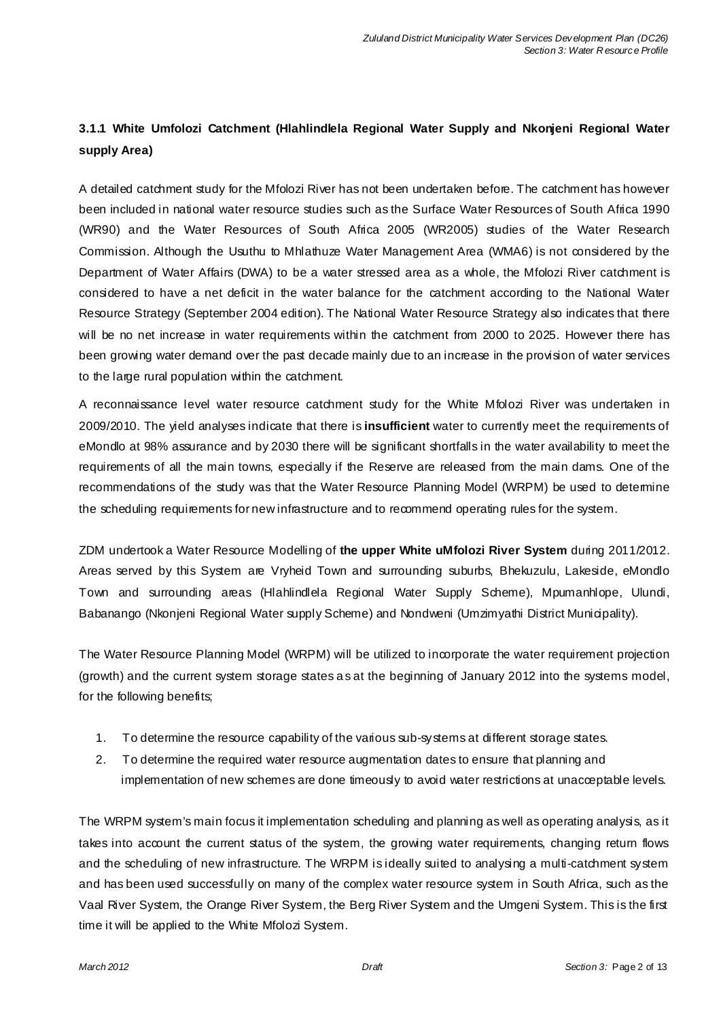## **3.1.1 White Umfolozi Catchment (Hlahlindlela Regional Water Supply and Nkonjeni Regional Water supply Area)**

A detailed catchment study for the Mfolozi River has not been undertaken before. The catchment has however been included in national water resource studies such as the Surface Water Resources of South Africa 1990 (WR90) and the Water Resources of South Africa 2005 (WR2005) studies of the Water Research Commission. Although the Usuthu to Mhlathuze Water Management Area (WMA6) is not considered by the Department of Water Affairs (DWA) to be a water stressed area as a whole, the Mfolozi River catchment is considered to have a net deficit in the water balance for the catchment according to the National Water Resource Strategy (September 2004 edition). The National Water Resource Strategy also indicates that there will be no net increase in water requirements within the catchment from 2000 to 2025. However there has been growing water demand over the past decade mainly due to an increase in the provision of water services to the large rural population within the catchment.

A reconnaissance level water resource catchment study for the White Mfolozi River was undertaken in 2009/2010. The yield analyses indicate that there is **insufficient** water to currently meet the requirements of eMondlo at 98% assurance and by 2030 there will be significant shortfalls in the water availability to meet the requirements of all the main towns, especially if the Reserve are released from the main dams. One of the recommendations of the study was that the Water Resource Planning Model (WRPM) be used to determine the scheduling requirements for new infrastructure and to recommend operating rules for the system.

ZDM undertook a Water Resource Modelling of **the upper White uMfolozi River System** during 2011/2012. Areas served by this System are Vryheid Town and surrounding suburbs, Bhekuzulu, Lakeside, eMondlo Town and surrounding areas (Hlahlindlela Regional Water Supply Scheme), Mpumanhlope, Ulundi, Babanango (Nkonjeni Regional Water supply Scheme) and Nondweni (Umzimyathi District Municipality).

The Water Resource Planning Model (WRPM) will be utilized to incorporate the water requirement projection (growth) and the current system storage states a s at the beginning of January 2012 into the systems model, for the following benefits;

- 1. To determine the resource capability of the various sub-systems at different storage states.
- 2. To determine the required water resource augmentation dates to ensure that planning and implementation of new schemes are done timeously to avoid water restrictions at unacceptable levels.

The WRPM system's main focus it implementation scheduling and planning as well as operating analysis, as it takes into account the current status of the system, the growing water requirements, changing return flows and the scheduling of new infrastructure. The WRPM is ideally suited to analysing a multi-catchment system and has been used successfully on many of the complex water resource system in South Africa, such as the Vaal River System, the Orange River System, the Berg River System and the Umgeni System. This is the first time it will be applied to the White Mfolozi System.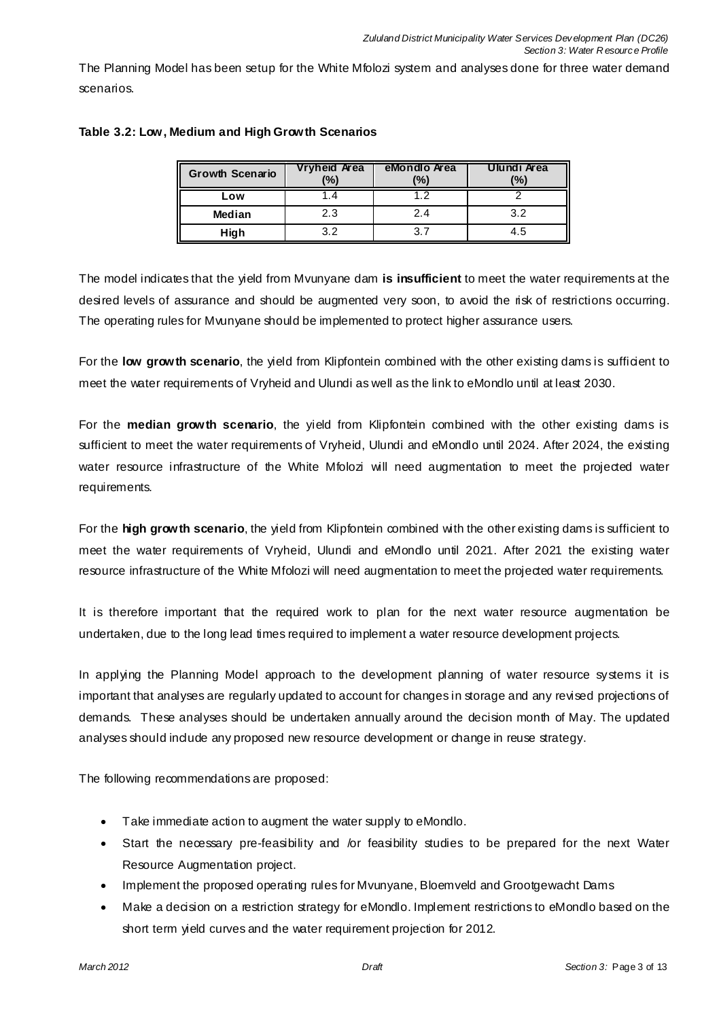The Planning Model has been setup for the White Mfolozi system and analyses done for three water demand scenarios.

| <b>Growth Scenario</b> | Vryheid Area<br>(%) | eMondlo Area<br>(%) | Ulundi Area<br>$\frac{10}{6}$ |
|------------------------|---------------------|---------------------|-------------------------------|
| Low                    |                     |                     |                               |
| Median                 | 2.3                 | 2.4                 | っっ                            |
| High                   | າ າ                 |                     | 4.5                           |

#### **Table 3.2: Low, Medium and High Growth Scenarios**

The model indicates that the yield from Mvunyane dam **is insufficient** to meet the water requirements at the desired levels of assurance and should be augmented very soon, to avoid the risk of restrictions occurring. The operating rules for Mvunyane should be implemented to protect higher assurance users.

For the **low growth scenario**, the yield from Klipfontein combined with the other existing dams is sufficient to meet the water requirements of Vryheid and Ulundi as well as the link to eMondlo until at least 2030.

For the **median growth scenario**, the yield from Klipfontein combined with the other existing dams is sufficient to meet the water requirements of Vryheid, Ulundi and eMondlo until 2024. After 2024, the existing water resource infrastructure of the White Mfolozi will need augmentation to meet the projected water requirements.

For the **high growth scenario**, the yield from Klipfontein combined with the other existing dams is sufficient to meet the water requirements of Vryheid, Ulundi and eMondlo until 2021. After 2021 the existing water resource infrastructure of the White Mfolozi will need augmentation to meet the projected water requirements.

It is therefore important that the required work to plan for the next water resource augmentation be undertaken, due to the long lead times required to implement a water resource development projects.

In applying the Planning Model approach to the development planning of water resource systems it is important that analyses are regularly updated to account for changes in storage and any revised projections of demands. These analyses should be undertaken annually around the decision month of May. The updated analyses should include any proposed new resource development or change in reuse strategy.

The following recommendations are proposed:

- Take immediate action to augment the water supply to eMondlo.
- Start the necessary pre-feasibility and /or feasibility studies to be prepared for the next Water Resource Augmentation project.
- Implement the proposed operating rules for Mvunyane, Bloemveld and Grootgewacht Dams
- Make a decision on a restriction strategy for eMondlo. Implement restrictions to eMondlo based on the short term yield curves and the water requirement projection for 2012.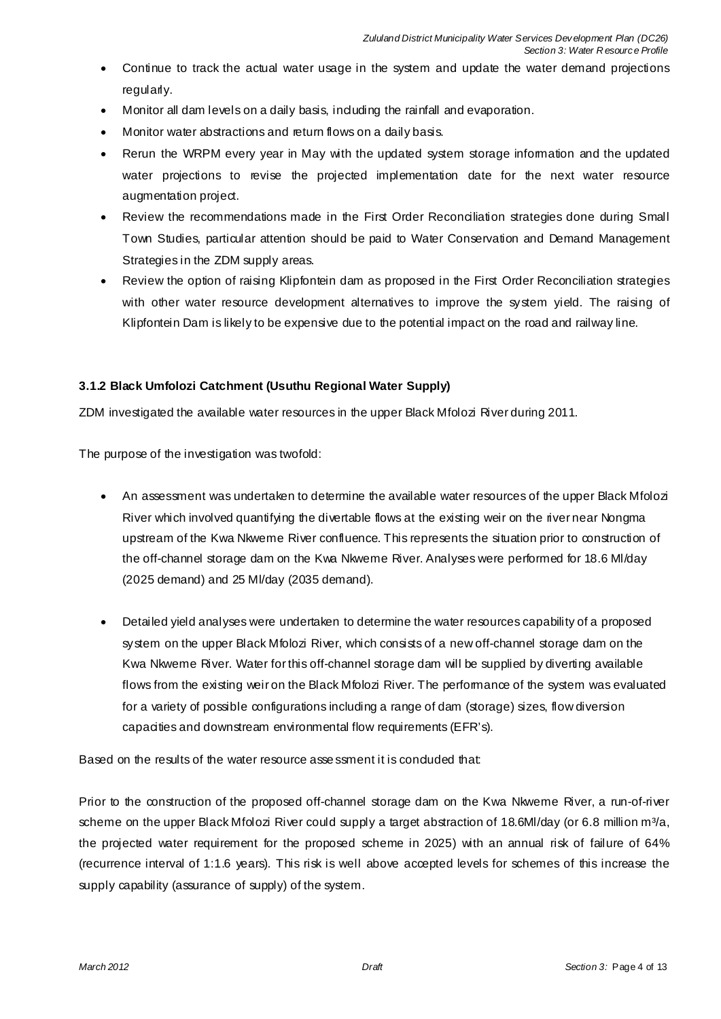- Continue to track the actual water usage in the system and update the water demand projections regularly.
- Monitor all dam levels on a daily basis, induding the rainfall and evaporation.
- Monitor water abstractions and return flows on a daily basis.
- Rerun the WRPM every year in May with the updated system storage information and the updated water projections to revise the projected implementation date for the next water resource augmentation project.
- Review the recommendations made in the First Order Reconciliation strategies done during Small Town Studies, particular attention should be paid to Water Conservation and Demand Management Strategies in the ZDM supply areas.
- Review the option of raising Klipfontein dam as proposed in the First Order Reconciliation strategies with other water resource development alternatives to improve the system yield. The raising of Klipfontein Dam is likely to be expensive due to the potential impact on the road and railway line.

#### **3.1.2 Black Umfolozi Catchment (Usuthu Regional Water Supply)**

ZDM investigated the available water resources in the upper Black Mfolozi River during 2011.

The purpose of the investigation was twofold:

- An assessment was undertaken to determine the available water resources of the upper Black Mfolozi River which involved quantifying the divertable flows at the existing weir on the river near Nongma upstream of the Kwa Nkweme River confluence. This represents the situation prior to construction of the off-channel storage dam on the Kwa Nkweme River. Analyses were performed for 18.6 Ml/day (2025 demand) and 25 Ml/day (2035 demand).
- Detailed yield analyses were undertaken to determine the water resources capability of a proposed system on the upper Black Mfolozi River, which consists of a new off-channel storage dam on the Kwa Nkweme River. Water for this off-channel storage dam will be supplied by diverting available flows from the existing weir on the Black Mfolozi River. The performance of the system was evaluated for a variety of possible configurations including a range of dam (storage) sizes, flow diversion capacities and downstream environmental flow requirements (EFR's).

Based on the results of the water resource assessment it is conduded that:

Prior to the construction of the proposed off-channel storage dam on the Kwa Nkweme River, a run-of-river scheme on the upper Black Mfolozi River could supply a target abstraction of 18.6Ml/day (or 6.8 million  $m\frac{3}{2}$ , the projected water requirement for the proposed scheme in 2025) with an annual risk of failure of 64% (recurrence interval of 1:1.6 years). This risk is well above accepted levels for schemes of this increase the supply capability (assurance of supply) of the system.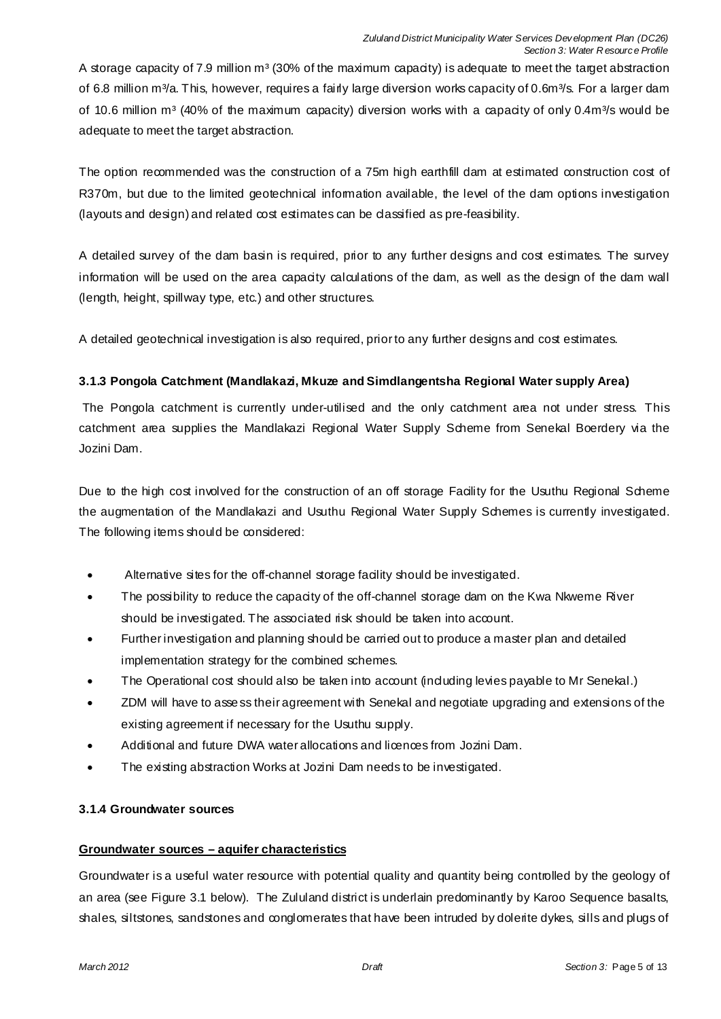A storage capacity of 7.9 million m<sup>3</sup> (30% of the maximum capacity) is adequate to meet the target abstraction of 6.8 million m<sup>3</sup>/a. This, however, requires a fairly large diversion works capacity of 0.6m<sup>3</sup>/s. For a larger dam of 10.6 million m<sup>3</sup> (40% of the maximum capacity) diversion works with a capacity of only 0.4m<sup>3</sup>/s would be adequate to meet the target abstraction.

The option recommended was the construction of a 75m high earthfill dam at estimated construction cost of R370m, but due to the limited geotechnical information available, the level of the dam options investigation (layouts and design) and related cost estimates can be classified as pre-feasibility.

A detailed survey of the dam basin is required, prior to any further designs and cost estimates. The survey information will be used on the area capacity calculations of the dam, as well as the design of the dam wall (length, height, spillway type, etc.) and other structures.

A detailed geotechnical investigation is also required, prior to any further designs and cost estimates.

#### **3.1.3 Pongola Catchment (Mandlakazi, Mkuze and Simdlangentsha Regional Water supply Area)**

 The Pongola catchment is currently under-utilised and the only catchment area not under stress. This catchment area supplies the Mandlakazi Regional Water Supply Scheme from Senekal Boerdery via the Jozini Dam.

Due to the high cost involved for the construction of an off storage Facility for the Usuthu Regional Scheme the augmentation of the Mandlakazi and Usuthu Regional Water Supply Schemes is currently investigated. The following items should be considered:

- Alternative sites for the off-channel storage facility should be investigated.
- The possibility to reduce the capacity of the off-channel storage dam on the Kwa Nkweme River should be investigated. The associated risk should be taken into account.
- Further investigation and planning should be carried out to produce a master plan and detailed implementation strategy for the combined schemes.
- The Operational cost should also be taken into account (induding levies payable to Mr Senekal.)
- x ZDM will have to asse ss their agreement with Senekal and negotiate upgrading and extensions of the existing agreement if necessary for the Usuthu supply.
- Additional and future DWA water allocations and licences from Jozini Dam.
- The existing abstraction Works at Jozini Dam needs to be investigated.

#### **3.1.4 Groundwater sources**

#### **Groundwater sources – aquifer characteristics**

Groundwater is a useful water resource with potential quality and quantity being controlled by the geology of an area (see Figure 3.1 below). The Zululand district is underlain predominantly by Karoo Sequence basalts, shales, siltstones, sandstones and conglomerates that have been intruded by dolerite dykes, sills and plugs of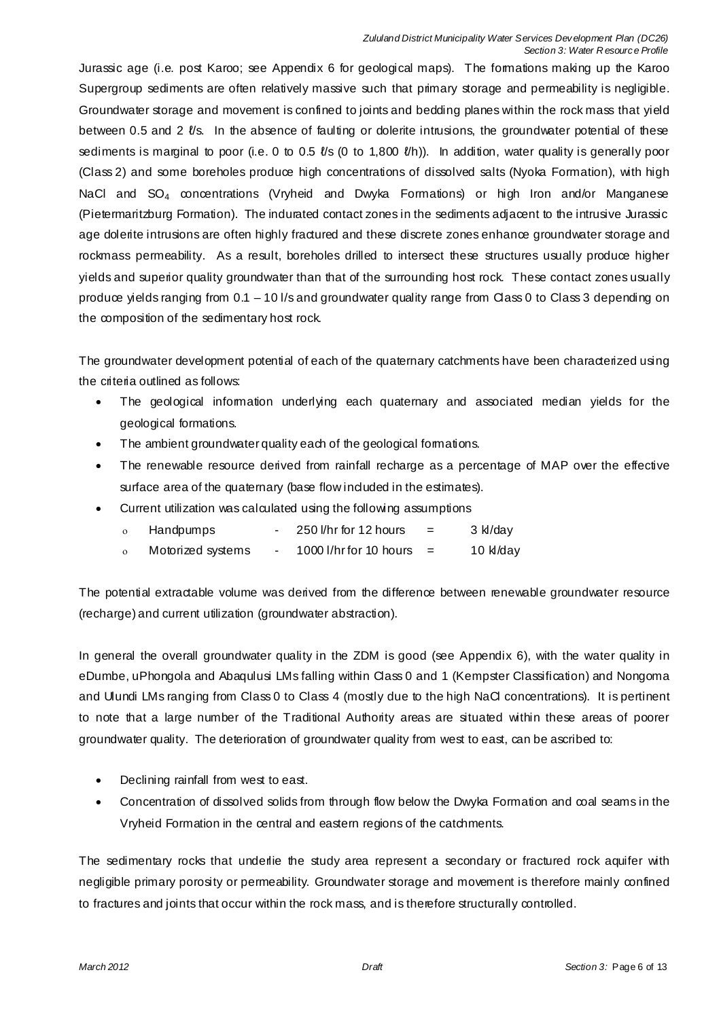Jurassic age (i.e. post Karoo; see Appendix 6 for geological maps). The formations making up the Karoo Supergroup sediments are often relatively massive such that primary storage and permeability is negligible. Groundwater storage and movement is confined to joints and bedding planes within the rock mass that yield between 0.5 and 2  $\ell$ s. In the absence of faulting or dolerite intrusions, the groundwater potential of these sediments is marginal to poor (i.e. 0 to 0.5  $\ell$ 's (0 to 1,800  $\ell$ <sup>th</sup>)). In addition, water quality is generally poor (Class 2) and some boreholes produce high concentrations of dissolved salts (Nyoka Formation), with high NaCl and  $SO_4$  concentrations (Vryheid and Dwyka Formations) or high Iron and/or Manganese (Pietermaritzburg Formation). The indurated contact zones in the sediments adjacent to the intrusive Jurassic age dolerite intrusions are often highly fractured and these discrete zones enhance groundwater storage and rockmass permeability. As a result, boreholes drilled to intersect these structures usually produce higher yields and superior quality groundwater than that of the surrounding host rock. These contact zones usually produce yields ranging from 0.1 - 10 I/s and groundwater quality range from Class 0 to Class 3 depending on the composition of the sedimentary host rock.

The groundwater development potential of each of the quaternary catchments have been characterized using the criteria outlined as follows:

- The geological information underlying each quaternary and associated median yields for the geological formations.
- The ambient groundwater quality each of the geological formations.
- The renewable resource derived from rainfall recharge as a percentage of MAP over the effective surface area of the quaternary (base flow induded in the estimates).
- Current utilization was calculated using the following assumptions
	- $\circ$  Handpumps 250 l/hr for 12 hours = 3 kl/day
	- $\Omega$  Motorized systems 1000 l/hr for 10 hours = 10 kl/day

The potential extractable volume was derived from the difference between renewable groundwater resource (recharge) and current utilization (groundwater abstraction).

In general the overall groundwater quality in the ZDM is good (see Appendix 6), with the water quality in eDumbe, uPhongola and Abaqulusi LMs falling within Class 0 and 1 (Kempster Classification) and Nongoma and Ulundi LMs ranging from Class 0 to Class 4 (mostly due to the high NaCl concentrations). It is pertinent to note that a large number of the Traditional Authority areas are situated within these areas of poorer groundwater quality. The deterioration of groundwater quality from west to east, can be ascribed to:

- Declining rainfall from west to east.
- Concentration of dissolved solids from through flow below the Dwyka Formation and coal seams in the Vryheid Formation in the central and eastern regions of the catchments.

The sedimentary rocks that underlie the study area represent a secondary or fractured rock aquifer with negligible primary porosity or permeability. Groundwater storage and movement is therefore mainly confined to fractures and joints that occur within the rock mass, and is therefore structurally controlled.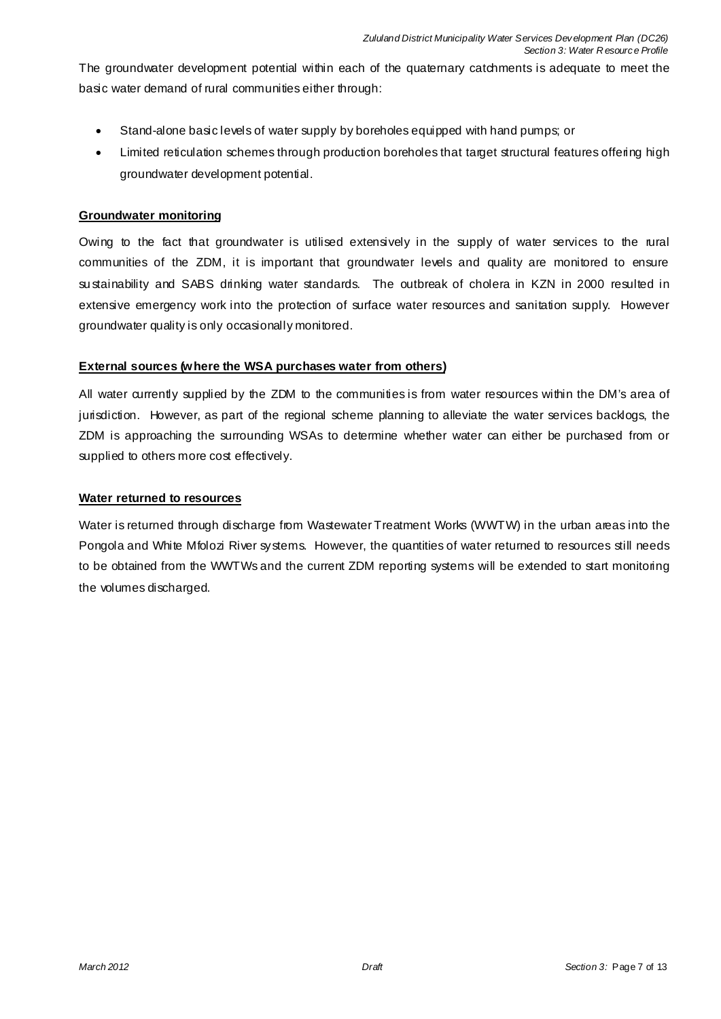The groundwater development potential within each of the quaternary catchments is adequate to meet the basic water demand of rural communities either through:

- Stand-alone basic levels of water supply by boreholes equipped with hand pumps; or
- Limited reticulation schemes through production boreholes that target structural features offering high groundwater development potential.

#### **Groundwater monitoring**

Owing to the fact that groundwater is utilised extensively in the supply of water services to the rural communities of the ZDM, it is important that groundwater levels and quality are monitored to ensure su stainability and SABS drinking water standards. The outbreak of cholera in KZN in 2000 resulted in extensive emergency work into the protection of surface water resources and sanitation supply. However groundwater quality is only occasionally monitored.

#### **External sources (where the WSA purchases water from others)**

All water currently supplied by the ZDM to the communities is from water resources within the DM's area of jurisdiction. However, as part of the regional scheme planning to alleviate the water services backlogs, the ZDM is approaching the surrounding WSAs to determine whether water can either be purchased from or supplied to others more cost effectively.

#### **Water returned to resources**

Water is returned through discharge from Wastewater Treatment Works (WWTW) in the urban areas into the Pongola and White Mfolozi River systems. However, the quantities of water returned to resources still needs to be obtained from the WWTWs and the current ZDM reporting systems will be extended to start monitoring the volumes discharged.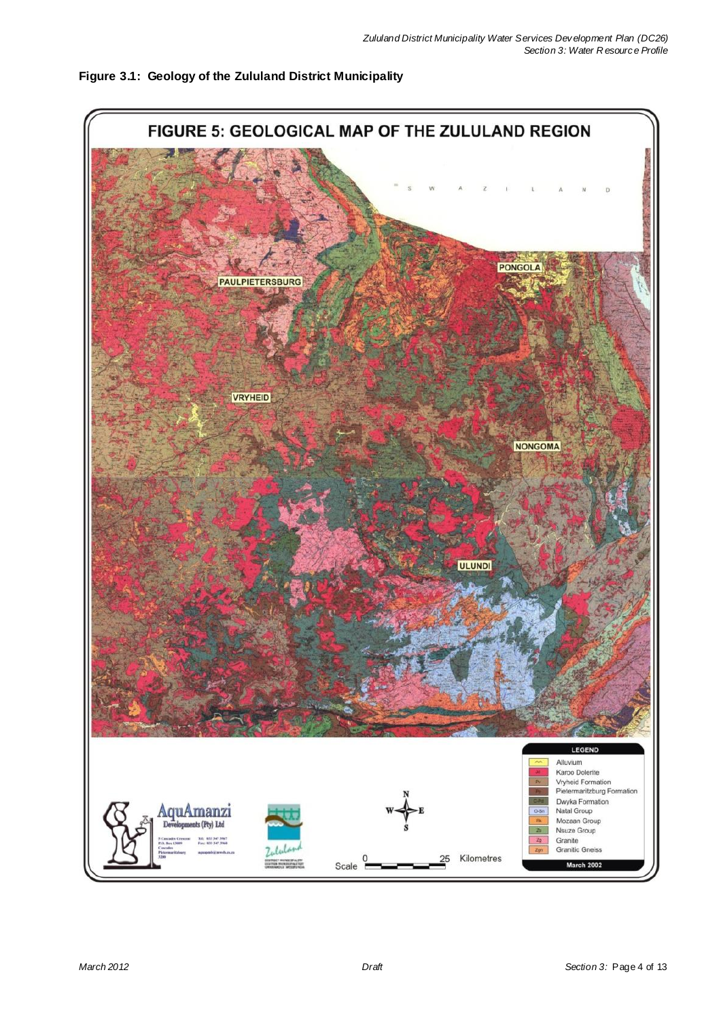

#### **Figure 3.1: Geology of the Zululand District Municipality**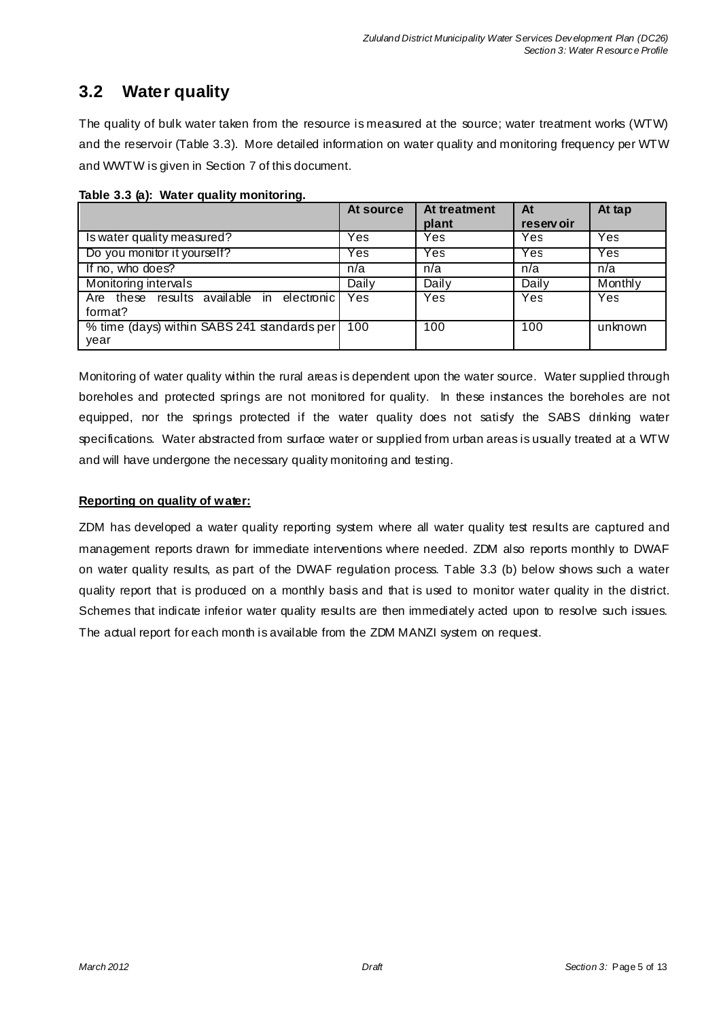## **3.2 Water quality**

The quality of bulk water taken from the resource is measured at the source; water treatment works (WTW) and the reservoir (Table 3.3). More detailed information on water quality and monitoring frequency per WTW and WWTW is given in Section 7 of this document.

|                                                         | At source | At treatment | At        | At tap     |
|---------------------------------------------------------|-----------|--------------|-----------|------------|
|                                                         |           | plant        | reservoir |            |
| Is water quality measured?                              | Yes       | Yes          | Yes       | Yes        |
| Do you monitor it yourself?                             | Yes       | Yes          | Yes       | <b>Yes</b> |
| If no, who does?                                        | n/a       | n/a          | n/a       | n/a        |
| Monitoring intervals                                    | Daily     | Daily        | Daily     | Monthly    |
| Are these results available in<br>electronic<br>format? | Yes       | Yes          | Yes       | Yes        |
| % time (days) within SABS 241 standards per<br>year     | 100       | 100          | 100       | unknown    |

**Table 3.3 (a): Water quality monitoring.** 

Monitoring of water quality within the rural areas is dependent upon the water source. Water supplied through boreholes and protected springs are not monitored for quality. In these instances the boreholes are not equipped, nor the springs protected if the water quality does not satisfy the SABS drinking water specifications. Water abstracted from surface water or supplied from urban areas is usually treated at a WTW and will have undergone the necessary quality monitoring and testing.

#### **Reporting on quality of water:**

ZDM has developed a water quality reporting system where all water quality test results are captured and management reports drawn for immediate interventions where needed. ZDM also reports monthly to DWAF on water quality results, as part of the DWAF regulation process. Table 3.3 (b) below shows such a water quality report that is produced on a monthly basis and that is used to monitor water quality in the district. Schemes that indicate inferior water quality results are then immediately acted upon to resolve such issues. The actual report for each month is available from the ZDM MANZI system on request.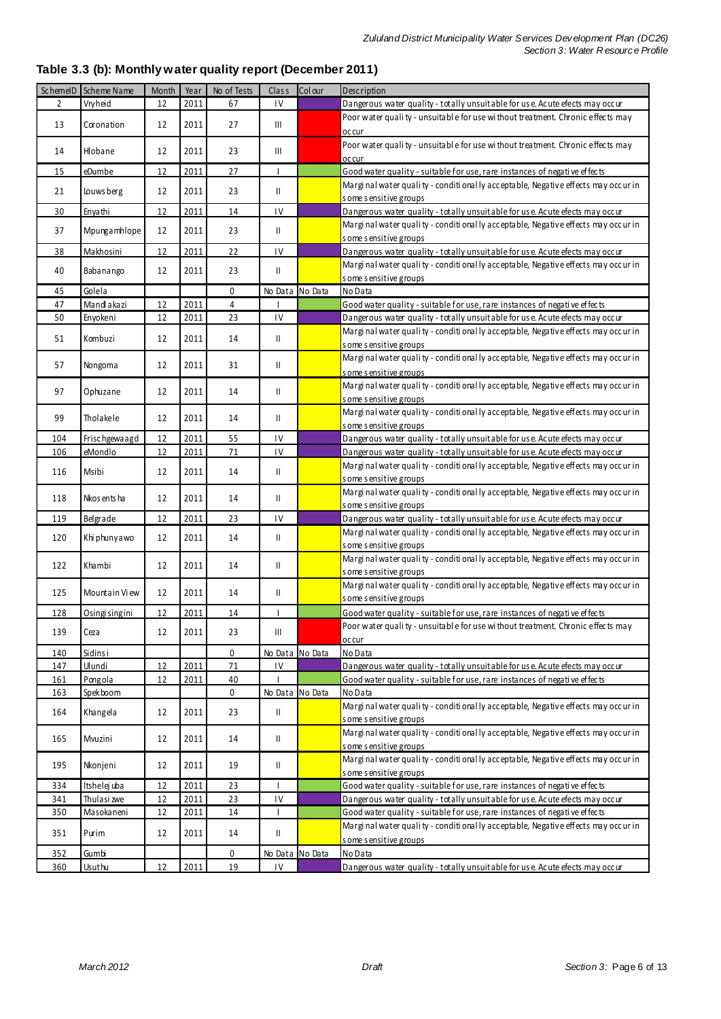|               | SchemelD Scheme Name | Month | Year | No of Tests | Class                              | Col our | Description                                                                      |  |  |
|---------------|----------------------|-------|------|-------------|------------------------------------|---------|----------------------------------------------------------------------------------|--|--|
| $\mathcal{P}$ | Vryheid              | 12    | 2011 | 67          | $\mathsf{IV}$                      |         | Dangerous water quality - totally unsuitable for use. Acute efects may occur     |  |  |
|               |                      |       |      |             |                                    |         | Poor water quality - unsuitable for use without treatment. Chronic effects may   |  |  |
| 13            | Coronation           | 12    | 2011 | 27          | Ш                                  |         | occur                                                                            |  |  |
|               |                      |       |      |             |                                    |         | Poor water quality - unsuitable for use without treatment. Chronic effects may   |  |  |
| 14            | Hlobane              | 12    | 2011 | 23          | Ш                                  |         | occur                                                                            |  |  |
| 15            | eDumbe               | 12    | 2011 | 27          |                                    |         | Good water quality - suitable for use, rare instances of negative effects        |  |  |
|               |                      |       |      |             |                                    |         | Marginal water quality - conditionally acceptable, Negative effects may occur in |  |  |
| 21            | Louws berg           | 12    | 2011 | 23          | $\mathbf{II}$                      |         | s ome s ensitive groups                                                          |  |  |
| 30            | Enyathi              | 12    | 2011 | 14          | IV                                 |         | Dangerous water quality - totally unsuitable for use. Acute efects may occur     |  |  |
| 37            |                      | 12    | 2011 | 23          | Ш                                  |         | Marginal water quality - conditionally acceptable, Negative effects may occur in |  |  |
|               | Mpungamhlope         |       |      |             |                                    |         | s ome s ensitive groups                                                          |  |  |
| 38            | Makhosini            | 12    | 2011 | 22          | $\mathsf{IV}$                      |         | Dangerous water quality - totally unsuitable for use. Acute efects may occur     |  |  |
| 40            | Babanango            | 12    | 2011 | 23          | Ш                                  |         | Marginal water quality - conditionally acceptable, Negative effects may occur in |  |  |
|               |                      |       |      |             |                                    |         | some sensitive groups                                                            |  |  |
| 45            | Golela               |       |      | 0           | No Data No Data                    |         | No Data                                                                          |  |  |
| 47            | Mand akazi           | 12    | 2011 | 4           |                                    |         | Good water quality - suitable for use, rare instances of negative effects        |  |  |
| 50            | Enyokeni             | 12    | 2011 | 23          | $\mathsf{IV}$                      |         | Dangerous water quality - totally unsuitable for use. Acute efects may occur     |  |  |
|               |                      |       |      |             |                                    |         | Marginal water quality - conditionally acceptable, Negative effects may occur in |  |  |
| 51            | Kombuzi              | 12    | 2011 | 14          | Ш                                  |         | s ome s ensitive groups                                                          |  |  |
|               |                      |       |      |             |                                    |         | Marginal water quality - conditionally acceptable, Negative effects may occur in |  |  |
| 57            | Nongoma              | 12    | 2011 | 31          | Ш                                  |         | s ome s ensitive groups                                                          |  |  |
|               |                      |       |      |             |                                    |         | Marginal water quality - conditionally acceptable, Negative effects may occur in |  |  |
| 97            | Ophuzane             | 12    | 2011 | 14          | Ш                                  |         | s ome s ensitive groups                                                          |  |  |
|               |                      |       |      |             |                                    |         | Marginal water quality - conditionally acceptable, Negative effects may occur in |  |  |
| 99            | Tholakele            | 12    | 2011 | 14          | Ш                                  |         | s ome s ensitive groups                                                          |  |  |
| 104           | Frischgewaagd        | 12    | 2011 | 55          | $\mathsf{IV}$                      |         | Dangerous water quality - totally unsuitable for us e. Ac ute efects may occur   |  |  |
| 106           | eMondlo              | 12    | 2011 | 71          | $\mathsf{IV}$                      |         | Dangerous water quality - totally unsuitable for use. Acute efects may occur     |  |  |
|               |                      |       |      |             |                                    |         | Marginal water quality - conditionally acceptable, Negative effects may occur in |  |  |
| 116           | Msibi                | 12    | 2011 | 14          | $\mathbf{II}$                      |         | s ome s ensitive groups                                                          |  |  |
|               |                      |       |      |             |                                    |         | Marginal water quality - conditionally acceptable, Negative effects may occur in |  |  |
| 118           | Nkos ents ha         | 12    | 2011 | 14          | Ш                                  |         | s ome s ensitive groups                                                          |  |  |
| 119           | Belgrade             | 12    | 2011 | 23          | $\mathsf{IV}$                      |         | Dangerous water quality - totally unsuitable for use. Acute efects may occur     |  |  |
|               |                      |       |      |             |                                    |         | Marginal water quality - conditionally acceptable, Negative effects may occur in |  |  |
| 120           | Khi phunyawo         | 12    | 2011 | 14          | $\mathsf{II}$                      |         | s ome s ensitive groups                                                          |  |  |
|               |                      |       |      |             |                                    |         | Marginal water quality - conditionally acceptable, Negative effects may occur in |  |  |
| 122           | Khambi               | 12    | 2011 | 14          | Ш                                  |         | s ome s ensitive groups                                                          |  |  |
|               |                      |       |      |             |                                    |         | Marginal water quality - conditionally acceptable, Negative effects may occur in |  |  |
| 125           | Mountain View        | 12    | 2011 | 14          | Ш                                  |         | s ome s ensitive groups                                                          |  |  |
| 128           | Osingi singini       | 12    | 2011 | 14          |                                    |         | Good water quality - suitable for use, rare instances of negative effects        |  |  |
|               |                      |       |      |             |                                    |         | Poor water quality - unsuitable for use without treatment. Chronic effects may   |  |  |
| 139           | Ceza                 | 12    | 2011 | 23          | $\ensuremath{\mathsf{III}}\xspace$ |         | occur                                                                            |  |  |
| 140           | Sidins i             |       |      | 0           | No Data No Data                    |         | No Data                                                                          |  |  |
| 147           | Ulundi               | 12    | 2011 | 71          | $\mathsf{IV}$                      |         | Dangerous water quality - totally unsuitable for use. Ac ute efects may occur    |  |  |
| 161           | Pongola              | 12    | 2011 | 40          |                                    |         | Good water quality - suitable for use, rare instances of negative effects        |  |  |
| 163           | Spekboom             |       |      | 0           | No Data No Data                    |         | No Data                                                                          |  |  |
|               |                      |       |      |             |                                    |         | Marginal water quality - conditionally acceptable, Negative effects may occur in |  |  |
| 164           | Khangela             | 12    | 2011 | 23          | $\mathbf{II}$                      |         | s ome s ensitive groups                                                          |  |  |
|               |                      |       |      |             |                                    |         | Marginal water quality - conditionally acceptable, Negative effects may occur in |  |  |
| 165           | Mvuzini              | 12    | 2011 | 14          | Ш                                  |         | s ome s ensitive groups                                                          |  |  |
|               |                      |       |      |             |                                    |         | Marginal water quality - conditionally acceptable, Negative effects may occur in |  |  |
| 195           | Nkonjeni             | 12    | 2011 | 19          | $\mathbf{II}$                      |         | s ome s ensitive groups                                                          |  |  |
| 334           | Itshelej uba         | 12    | 2011 | 23          | $\mathbf{I}$                       |         | Good water quality - suitable for use, rare instances of negative effects        |  |  |
| 341           | Thulasi zwe          | 12    | 2011 | 23          | $\mathsf{IV}$                      |         | Dangerous water quality - totally unsuitable for use. Acute efects may occur     |  |  |
| 350           | Masokaneni           | 12    | 2011 | 14          | $\mathbf{I}$                       |         | Good water quality - suitable for use, rare instances of negative effects        |  |  |
|               |                      |       |      |             |                                    |         | Marginal water quality - conditionally acceptable, Negative effects may occur in |  |  |
| 351           | Purim                | 12    | 2011 | 14          | $\mathsf{I}$                       |         | s ome s ensitive groups                                                          |  |  |
| 352           | Gumbi                |       |      | 0           | No Data No Data                    |         | No Data                                                                          |  |  |
| 360           | Usuthu               | 12    | 2011 | 19          | IV                                 |         | Dangerous water quality - totally unsuitable for use. Acute efects may occur     |  |  |

## **Table 3.3 (b): Monthly water quality report (December 2011)**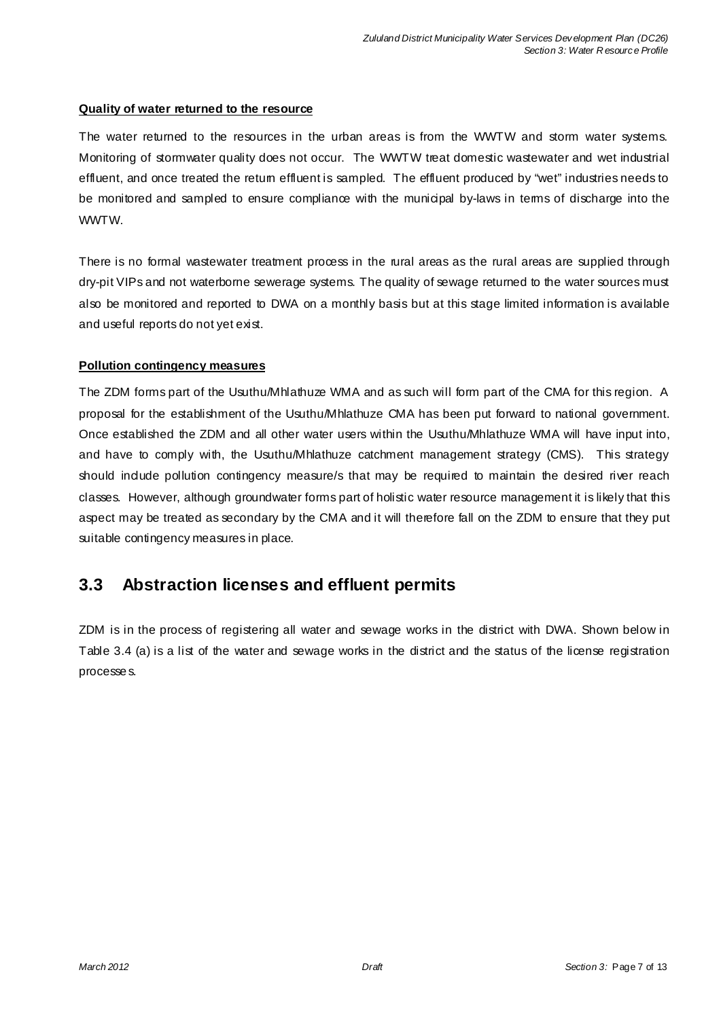#### **Quality of water returned to the resource**

The water returned to the resources in the urban areas is from the WWTW and storm water systems. Monitoring of stormwater quality does not occur. The WWTW treat domestic wastewater and wet industrial effluent, and once treated the return effluent is sampled. The effluent produced by "wet" industries needs to be monitored and sampled to ensure compliance with the municipal by-laws in terms of discharge into the WWTW.

There is no formal wastewater treatment process in the rural areas as the rural areas are supplied through dry-pit VIPs and not waterborne sewerage systems. The quality of sewage returned to the water sources must also be monitored and reported to DWA on a monthly basis but at this stage limited information is available and useful reports do not yet exist.

#### **Pollution contingency measures**

The ZDM forms part of the Usuthu/Mhlathuze WMA and as such will form part of the CMA for this region. A proposal for the establishment of the Usuthu/Mhlathuze CMA has been put forward to national government. Once established the ZDM and all other water users within the Usuthu/Mhlathuze WMA will have input into, and have to comply with, the Usuthu/Mhlathuze catchment management strategy (CMS). This strategy should indude pollution contingency measure/s that may be required to maintain the desired river reach classes. However, although groundwater forms part of holistic water resource management it is likely that this aspect may be treated as secondary by the CMA and it will therefore fall on the ZDM to ensure that they put suitable contingency measures in place.

## **3.3 Abstraction licenses and effluent permits**

ZDM is in the process of registering all water and sewage works in the district with DWA. Shown below in Table 3.4 (a) is a list of the water and sewage works in the district and the status of the license registration processe s.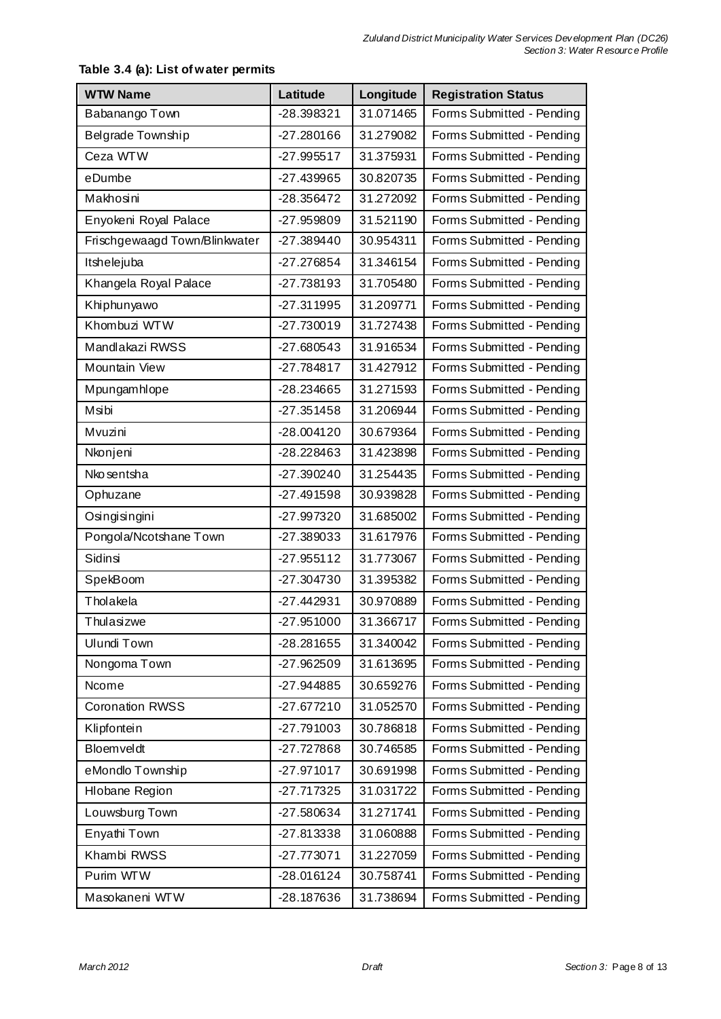| <b>WTW Name</b>               | Latitude     | Longitude | <b>Registration Status</b> |  |
|-------------------------------|--------------|-----------|----------------------------|--|
| Babanango Town                | -28.398321   | 31.071465 | Forms Submitted - Pending  |  |
| Belgrade Township             | -27.280166   | 31.279082 | Forms Submitted - Pending  |  |
| Ceza WTW                      | $-27.995517$ | 31.375931 | Forms Submitted - Pending  |  |
| eDumbe                        | -27.439965   | 30.820735 | Forms Submitted - Pending  |  |
| Makhosini                     | -28.356472   | 31.272092 | Forms Submitted - Pending  |  |
| Enyokeni Royal Palace         | -27.959809   | 31.521190 | Forms Submitted - Pending  |  |
| Frischgewaagd Town/Blinkwater | -27.389440   | 30.954311 | Forms Submitted - Pending  |  |
| Itshelejuba                   | -27.276854   | 31.346154 | Forms Submitted - Pending  |  |
| Khangela Royal Palace         | -27.738193   | 31.705480 | Forms Submitted - Pending  |  |
| Khiphunyawo                   | $-27.311995$ | 31.209771 | Forms Submitted - Pending  |  |
| Khombuzi WTW                  | $-27.730019$ | 31.727438 | Forms Submitted - Pending  |  |
| Mandlakazi RWSS               | -27.680543   | 31.916534 | Forms Submitted - Pending  |  |
| Mountain View                 | -27.784817   | 31.427912 | Forms Submitted - Pending  |  |
| Mpungamhlope                  | -28.234665   | 31.271593 | Forms Submitted - Pending  |  |
| Msibi                         | $-27.351458$ | 31.206944 | Forms Submitted - Pending  |  |
| Mvuzini                       | $-28.004120$ | 30.679364 | Forms Submitted - Pending  |  |
| Nkonjeni                      | -28.228463   | 31.423898 | Forms Submitted - Pending  |  |
| Nko sentsha                   | $-27.390240$ | 31.254435 | Forms Submitted - Pending  |  |
| Ophuzane                      | $-27.491598$ | 30.939828 | Forms Submitted - Pending  |  |
| Osingisingini                 | -27.997320   | 31.685002 | Forms Submitted - Pending  |  |
| Pongola/Ncotshane Town        | -27.389033   | 31.617976 | Forms Submitted - Pending  |  |
| Sidinsi                       | $-27.955112$ | 31.773067 | Forms Submitted - Pending  |  |
| SpekBoom                      | $-27.304730$ | 31.395382 | Forms Submitted - Pending  |  |
| Tholakela                     | $-27.442931$ | 30.970889 | Forms Submitted - Pending  |  |
| Thulasizwe                    | -27.951000   | 31.366717 | Forms Submitted - Pending  |  |
| Ulundi Town                   | -28.281655   | 31.340042 | Forms Submitted - Pending  |  |
| Nongoma Town                  | -27.962509   | 31.613695 | Forms Submitted - Pending  |  |
| Ncome                         | -27.944885   | 30.659276 | Forms Submitted - Pending  |  |
| <b>Coronation RWSS</b>        | $-27.677210$ | 31.052570 | Forms Submitted - Pending  |  |
| Klipfontein                   | $-27.791003$ | 30.786818 | Forms Submitted - Pending  |  |
| Bloemveldt                    | -27.727868   | 30.746585 | Forms Submitted - Pending  |  |
| eMondlo Township              | $-27.971017$ | 30.691998 | Forms Submitted - Pending  |  |
| Hlobane Region                | $-27.717325$ | 31.031722 | Forms Submitted - Pending  |  |
| Louwsburg Town                | -27.580634   | 31.271741 | Forms Submitted - Pending  |  |
| Enyathi Town                  | -27.813338   | 31.060888 | Forms Submitted - Pending  |  |
| Khambi RWSS                   | $-27.773071$ | 31.227059 | Forms Submitted - Pending  |  |
| Purim WTW                     | $-28.016124$ | 30.758741 | Forms Submitted - Pending  |  |
| Masokaneni WTW                | -28.187636   | 31.738694 | Forms Submitted - Pending  |  |

## **Table 3.4 (a): List of water permits**